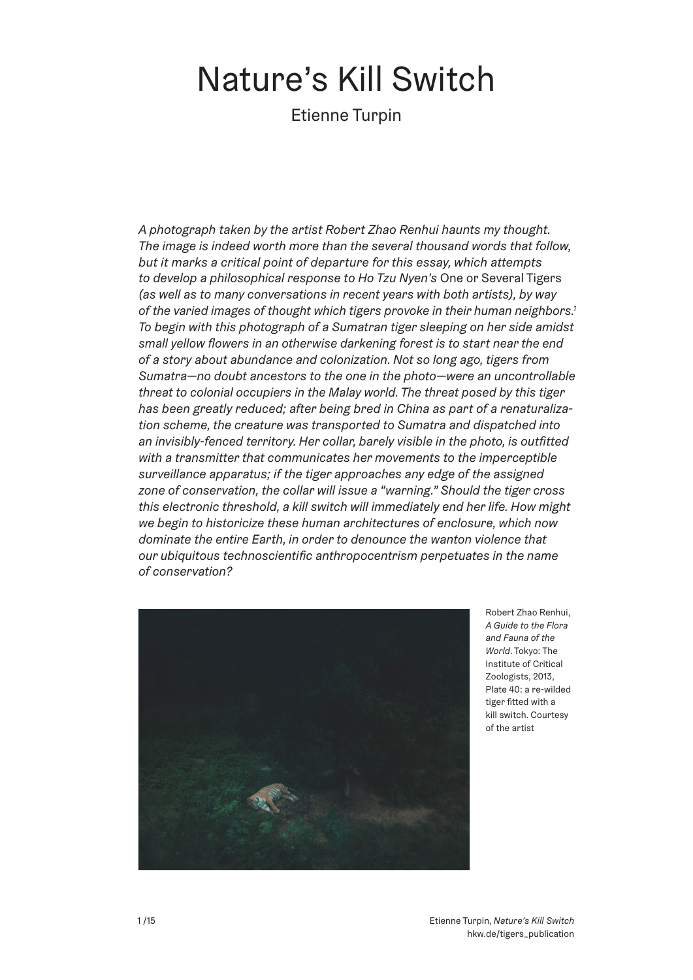# Nature's Kill Switch

Etienne Turpin

*A photograph taken by the artist Robert Zhao Renhui haunts my thought. The image is indeed worth more than the several thousand words that follow, but it marks a critical point of departure for this essay, which attempts to develop a philosophical response to Ho Tzu Nyen's* One or Several Tigers *(as well as to many conversations in recent years with both artists), by way of the varied images of thought which tigers provoke in their human neighbors.1 To begin with this photograph of a Sumatran tiger sleeping on her side amidst small yellow flowers in an otherwise darkening forest is to start near the end of a story about abundance and colonization. Not so long ago, tigers from Sumatra—no doubt ancestors to the one in the photo—were an uncontrollable threat to colonial occupiers in the Malay world. The threat posed by this tiger has been greatly reduced; after being bred in China as part of a renaturalization scheme, the creature was transported to Sumatra and dispatched into an invisibly-fenced territory. Her collar, barely visible in the photo, is outfitted with a transmitter that communicates her movements to the imperceptible surveillance apparatus; if the tiger approaches any edge of the assigned zone of conservation, the collar will issue a "warning." Should the tiger cross this electronic threshold, a kill switch will immediately end her life. How might we begin to historicize these human architectures of enclosure, which now dominate the entire Earth, in order to denounce the wanton violence that our ubiquitous technoscientific anthropocentrism perpetuates in the name of conservation?*



Robert Zhao Renhui, *A Guide to the Flora and Fauna of the World*. Tokyo: The Institute of Critical Zoologists, 2013, Plate 40: a re-wilded tiger fitted with a kill switch. Courtesy of the artist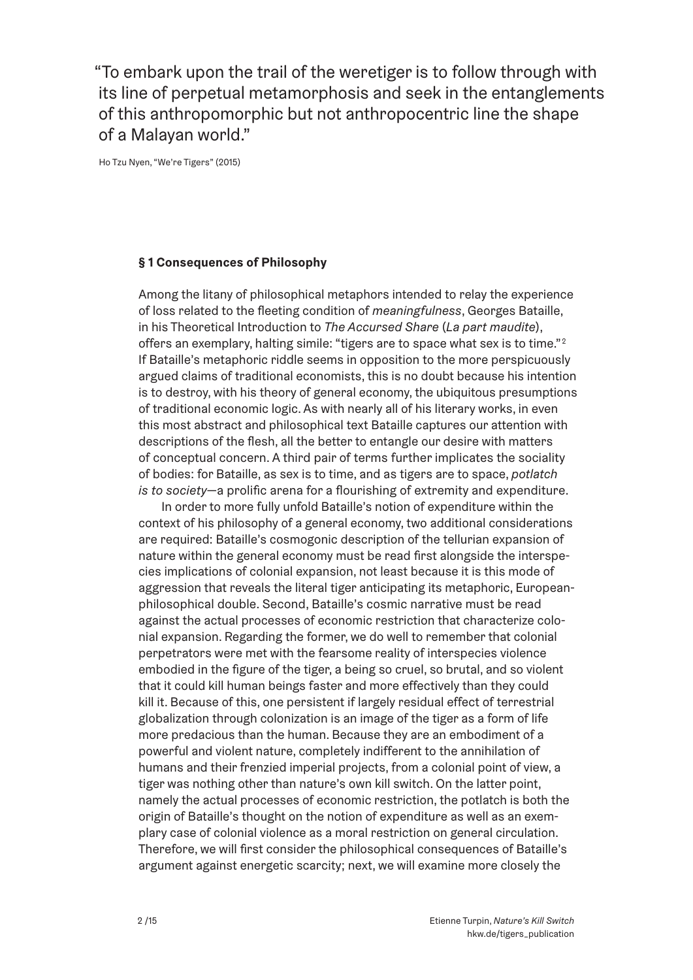"To embark upon the trail of the weretiger is to follow through with its line of perpetual metamorphosis and seek in the entanglements of this anthropomorphic but not anthropocentric line the shape of a Malayan world."

Ho Tzu Nyen, "We're Tigers" (2015)

#### **§ 1 Consequences of Philosophy**

Among the litany of philosophical metaphors intended to relay the experience of loss related to the fleeting condition of *meaningfulness*, Georges Bataille, in his Theoretical Introduction to *The Accursed Share* (*La part maudite*), offers an exemplary, halting simile: "tigers are to space what sex is to time."<sup>2</sup> If Bataille's metaphoric riddle seems in opposition to the more perspicuously argued claims of traditional economists, this is no doubt because his intention is to destroy, with his theory of general economy, the ubiquitous presumptions of traditional economic logic. As with nearly all of his literary works, in even this most abstract and philosophical text Bataille captures our attention with descriptions of the flesh, all the better to entangle our desire with matters of conceptual concern. A third pair of terms further implicates the sociality of bodies: for Bataille, as sex is to time, and as tigers are to space, *potlatch is to society*—a prolific arena for a flourishing of extremity and expenditure.

In order to more fully unfold Bataille's notion of expenditure within the context of his philosophy of a general economy, two additional considerations are required: Bataille's cosmogonic description of the tellurian expansion of nature within the general economy must be read first alongside the interspecies implications of colonial expansion, not least because it is this mode of aggression that reveals the literal tiger anticipating its metaphoric, Europeanphilosophical double. Second, Bataille's cosmic narrative must be read against the actual processes of economic restriction that characterize colonial expansion. Regarding the former, we do well to remember that colonial perpetrators were met with the fearsome reality of interspecies violence embodied in the figure of the tiger, a being so cruel, so brutal, and so violent that it could kill human beings faster and more effectively than they could kill it. Because of this, one persistent if largely residual effect of terrestrial globalization through colonization is an image of the tiger as a form of life more predacious than the human. Because they are an embodiment of a powerful and violent nature, completely indifferent to the annihilation of humans and their frenzied imperial projects, from a colonial point of view, a tiger was nothing other than nature's own kill switch. On the latter point, namely the actual processes of economic restriction, the potlatch is both the origin of Bataille's thought on the notion of expenditure as well as an exemplary case of colonial violence as a moral restriction on general circulation. Therefore, we will first consider the philosophical consequences of Bataille's argument against energetic scarcity; next, we will examine more closely the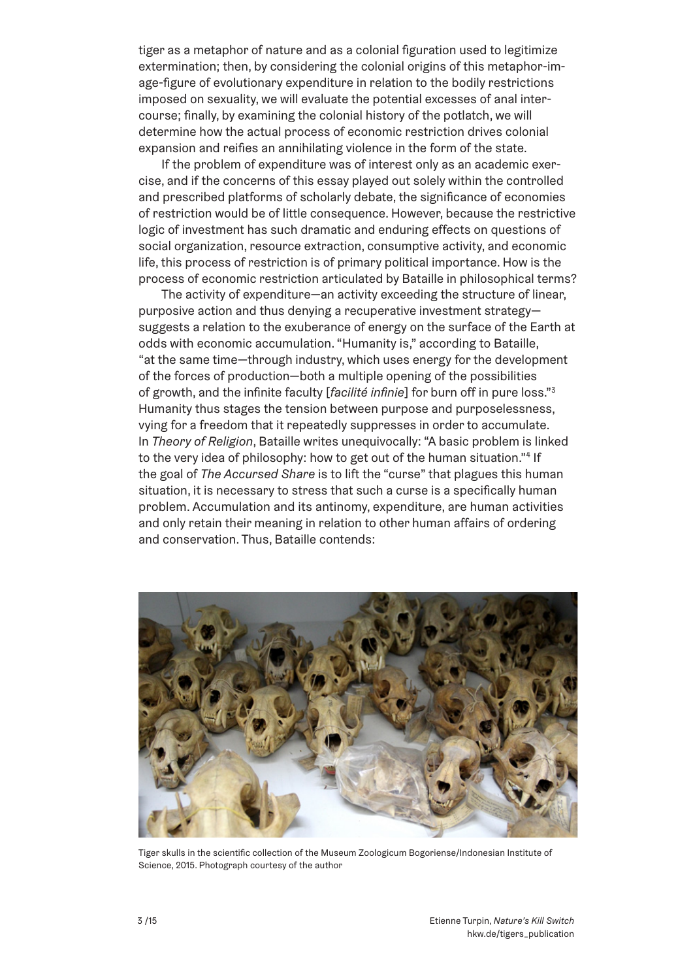tiger as a metaphor of nature and as a colonial figuration used to legitimize extermination; then, by considering the colonial origins of this metaphor-image-figure of evolutionary expenditure in relation to the bodily restrictions imposed on sexuality, we will evaluate the potential excesses of anal intercourse; finally, by examining the colonial history of the potlatch, we will determine how the actual process of economic restriction drives colonial expansion and reifies an annihilating violence in the form of the state.

If the problem of expenditure was of interest only as an academic exercise, and if the concerns of this essay played out solely within the controlled and prescribed platforms of scholarly debate, the significance of economies of restriction would be of little consequence. However, because the restrictive logic of investment has such dramatic and enduring effects on questions of social organization, resource extraction, consumptive activity, and economic life, this process of restriction is of primary political importance. How is the process of economic restriction articulated by Bataille in philosophical terms?

The activity of expenditure—an activity exceeding the structure of linear, purposive action and thus denying a recuperative investment strategy suggests a relation to the exuberance of energy on the surface of the Earth at odds with economic accumulation. "Humanity is," according to Bataille, "at the same time—through industry, which uses energy for the development of the forces of production—both a multiple opening of the possibilities of growth, and the infinite faculty [*facilité infinie*] for burn off in pure loss."3 Humanity thus stages the tension between purpose and purposelessness, vying for a freedom that it repeatedly suppresses in order to accumulate. In *Theory of Religion*, Bataille writes unequivocally: "A basic problem is linked to the very idea of philosophy: how to get out of the human situation."4 If the goal of *The Accursed Share* is to lift the "curse" that plagues this human situation, it is necessary to stress that such a curse is a specifically human problem. Accumulation and its antinomy, expenditure, are human activities and only retain their meaning in relation to other human affairs of ordering and conservation. Thus, Bataille contends:



Tiger skulls in the scientific collection of the Museum Zoologicum Bogoriense/Indonesian Institute of Science, 2015. Photograph courtesy of the author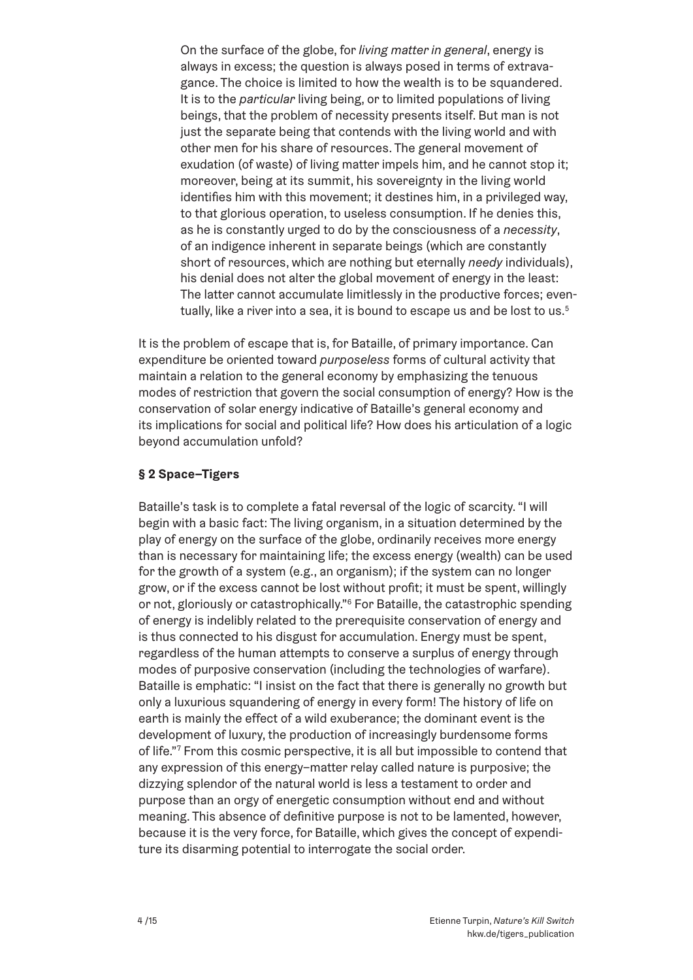On the surface of the globe, for *living matter in general*, energy is always in excess; the question is always posed in terms of extravagance. The choice is limited to how the wealth is to be squandered. It is to the *particular* living being, or to limited populations of living beings, that the problem of necessity presents itself. But man is not just the separate being that contends with the living world and with other men for his share of resources. The general movement of exudation (of waste) of living matter impels him, and he cannot stop it; moreover, being at its summit, his sovereignty in the living world identifies him with this movement; it destines him, in a privileged way, to that glorious operation, to useless consumption. If he denies this, as he is constantly urged to do by the consciousness of a *necessity*, of an indigence inherent in separate beings (which are constantly short of resources, which are nothing but eternally *needy* individuals), his denial does not alter the global movement of energy in the least: The latter cannot accumulate limitlessly in the productive forces; eventually, like a river into a sea, it is bound to escape us and be lost to us.<sup>5</sup>

It is the problem of escape that is, for Bataille, of primary importance. Can expenditure be oriented toward *purposeless* forms of cultural activity that maintain a relation to the general economy by emphasizing the tenuous modes of restriction that govern the social consumption of energy? How is the conservation of solar energy indicative of Bataille's general economy and its implications for social and political life? How does his articulation of a logic beyond accumulation unfold?

## **§ 2 Space–Tigers**

Bataille's task is to complete a fatal reversal of the logic of scarcity. "I will begin with a basic fact: The living organism, in a situation determined by the play of energy on the surface of the globe, ordinarily receives more energy than is necessary for maintaining life; the excess energy (wealth) can be used for the growth of a system (e.g., an organism); if the system can no longer grow, or if the excess cannot be lost without profit; it must be spent, willingly or not, gloriously or catastrophically."6 For Bataille, the catastrophic spending of energy is indelibly related to the prerequisite conservation of energy and is thus connected to his disgust for accumulation. Energy must be spent, regardless of the human attempts to conserve a surplus of energy through modes of purposive conservation (including the technologies of warfare). Bataille is emphatic: "I insist on the fact that there is generally no growth but only a luxurious squandering of energy in every form! The history of life on earth is mainly the effect of a wild exuberance; the dominant event is the development of luxury, the production of increasingly burdensome forms of life."7 From this cosmic perspective, it is all but impossible to contend that any expression of this energy–matter relay called nature is purposive; the dizzying splendor of the natural world is less a testament to order and purpose than an orgy of energetic consumption without end and without meaning. This absence of definitive purpose is not to be lamented, however, because it is the very force, for Bataille, which gives the concept of expenditure its disarming potential to interrogate the social order.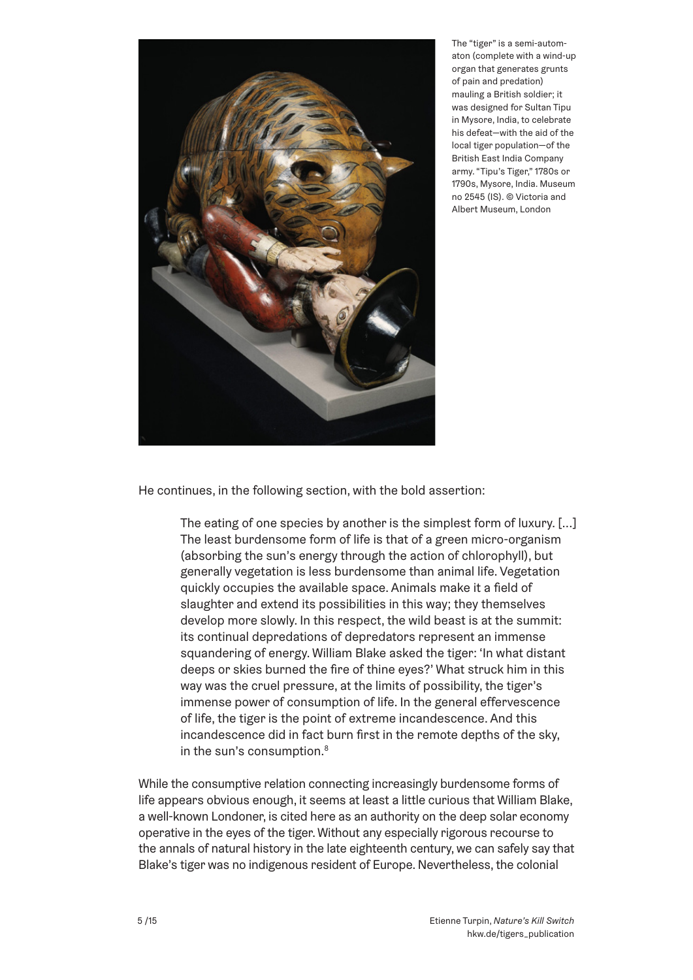

The "tiger" is a semi-automaton (complete with a wind-up organ that generates grunts of pain and predation) mauling a British soldier; it was designed for Sultan Tipu in Mysore, India, to celebrate his defeat—with the aid of the local tiger population—of the British East India Company army. "Tipu's Tiger," 1780s or 1790s, Mysore, India. Museum no 2545 (IS). © Victoria and Albert Museum, London

He continues, in the following section, with the bold assertion:

The eating of one species by another is the simplest form of luxury. [...] The least burdensome form of life is that of a green micro-organism (absorbing the sun's energy through the action of chlorophyll), but generally vegetation is less burdensome than animal life. Vegetation quickly occupies the available space. Animals make it a field of slaughter and extend its possibilities in this way; they themselves develop more slowly. In this respect, the wild beast is at the summit: its continual depredations of depredators represent an immense squandering of energy. William Blake asked the tiger: 'In what distant deeps or skies burned the fire of thine eyes?' What struck him in this way was the cruel pressure, at the limits of possibility, the tiger's immense power of consumption of life. In the general effervescence of life, the tiger is the point of extreme incandescence. And this incandescence did in fact burn first in the remote depths of the sky, in the sun's consumption.<sup>8</sup>

While the consumptive relation connecting increasingly burdensome forms of life appears obvious enough, it seems at least a little curious that William Blake, a well-known Londoner, is cited here as an authority on the deep solar economy operative in the eyes of the tiger. Without any especially rigorous recourse to the annals of natural history in the late eighteenth century, we can safely say that Blake's tiger was no indigenous resident of Europe. Nevertheless, the colonial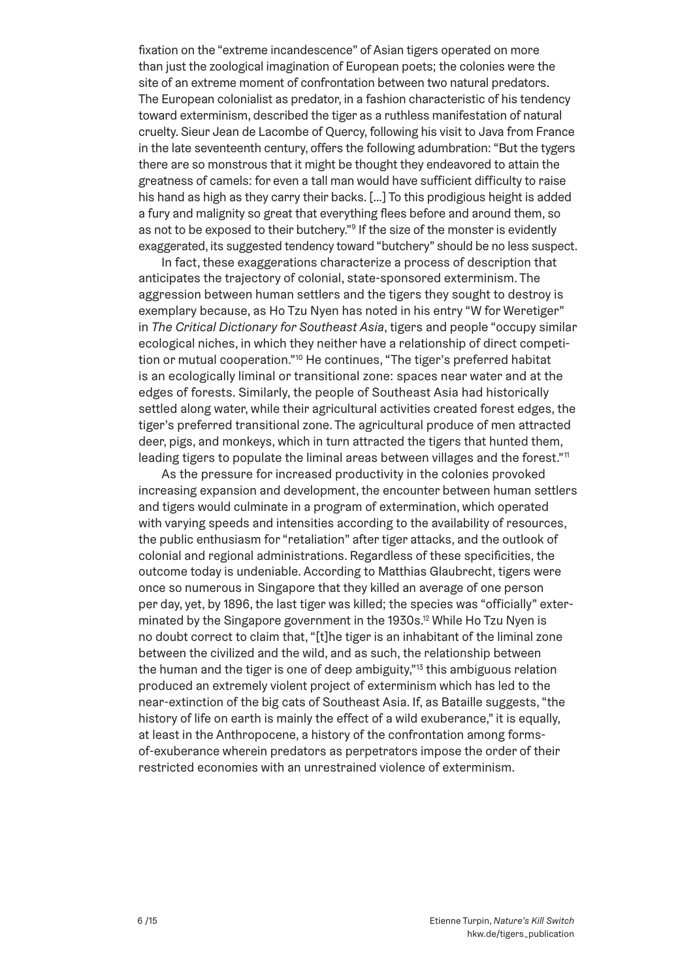fixation on the "extreme incandescence" of Asian tigers operated on more than just the zoological imagination of European poets; the colonies were the site of an extreme moment of confrontation between two natural predators. The European colonialist as predator, in a fashion characteristic of his tendency toward exterminism, described the tiger as a ruthless manifestation of natural cruelty. Sieur Jean de Lacombe of Quercy, following his visit to Java from France in the late seventeenth century, offers the following adumbration: "But the tygers there are so monstrous that it might be thought they endeavored to attain the greatness of camels: for even a tall man would have sufficient difficulty to raise his hand as high as they carry their backs. […] To this prodigious height is added a fury and malignity so great that everything flees before and around them, so as not to be exposed to their butchery."<sup>9</sup> If the size of the monster is evidently exaggerated, its suggested tendency toward "butchery" should be no less suspect.

In fact, these exaggerations characterize a process of description that anticipates the trajectory of colonial, state-sponsored exterminism. The aggression between human settlers and the tigers they sought to destroy is exemplary because, as Ho Tzu Nyen has noted in his entry "W for Weretiger" in *The Critical Dictionary for Southeast Asia*, tigers and people "occupy similar ecological niches, in which they neither have a relationship of direct competition or mutual cooperation."10 He continues, "The tiger's preferred habitat is an ecologically liminal or transitional zone: spaces near water and at the edges of forests. Similarly, the people of Southeast Asia had historically settled along water, while their agricultural activities created forest edges, the tiger's preferred transitional zone. The agricultural produce of men attracted deer, pigs, and monkeys, which in turn attracted the tigers that hunted them, leading tigers to populate the liminal areas between villages and the forest."<sup>11</sup>

As the pressure for increased productivity in the colonies provoked increasing expansion and development, the encounter between human settlers and tigers would culminate in a program of extermination, which operated with varying speeds and intensities according to the availability of resources, the public enthusiasm for "retaliation" after tiger attacks, and the outlook of colonial and regional administrations. Regardless of these specificities, the outcome today is undeniable. According to Matthias Glaubrecht, tigers were once so numerous in Singapore that they killed an average of one person per day, yet, by 1896, the last tiger was killed; the species was "officially" exterminated by the Singapore government in the 1930s.<sup>12</sup> While Ho Tzu Nyen is no doubt correct to claim that, "[t]he tiger is an inhabitant of the liminal zone between the civilized and the wild, and as such, the relationship between the human and the tiger is one of deep ambiguity."<sup>13</sup> this ambiguous relation produced an extremely violent project of exterminism which has led to the near-extinction of the big cats of Southeast Asia. If, as Bataille suggests, "the history of life on earth is mainly the effect of a wild exuberance," it is equally, at least in the Anthropocene, a history of the confrontation among formsof-exuberance wherein predators as perpetrators impose the order of their restricted economies with an unrestrained violence of exterminism.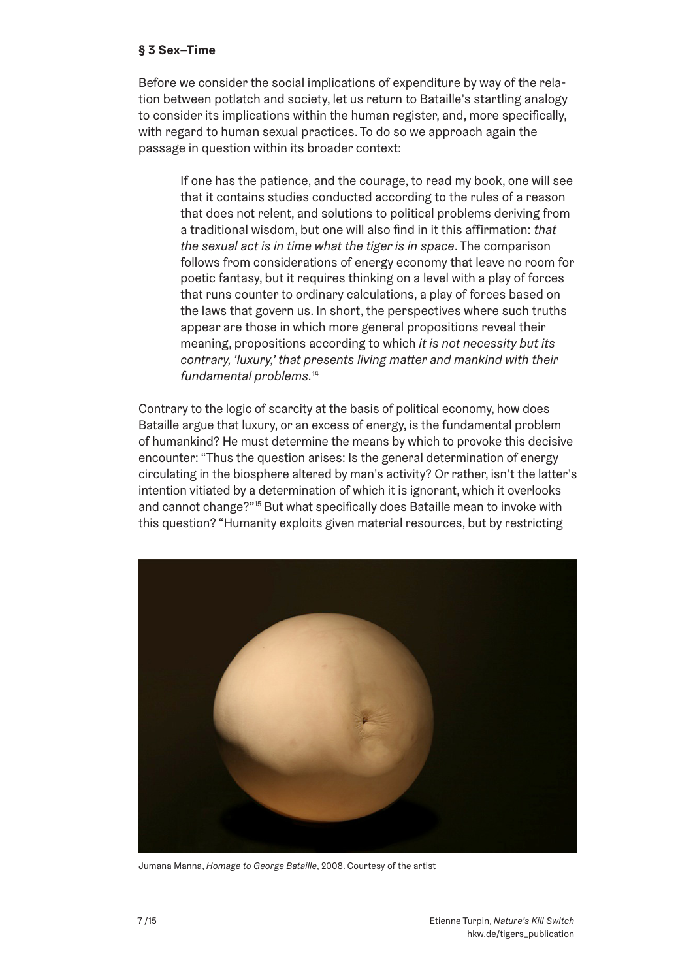#### **§ 3 Sex–Time**

Before we consider the social implications of expenditure by way of the relation between potlatch and society, let us return to Bataille's startling analogy to consider its implications within the human register, and, more specifically, with regard to human sexual practices. To do so we approach again the passage in question within its broader context:

If one has the patience, and the courage, to read my book, one will see that it contains studies conducted according to the rules of a reason that does not relent, and solutions to political problems deriving from a traditional wisdom, but one will also find in it this affirmation: *that the sexual act is in time what the tiger is in space*. The comparison follows from considerations of energy economy that leave no room for poetic fantasy, but it requires thinking on a level with a play of forces that runs counter to ordinary calculations, a play of forces based on the laws that govern us. In short, the perspectives where such truths appear are those in which more general propositions reveal their meaning, propositions according to which *it is not necessity but its contrary, 'luxury,' that presents living matter and mankind with their fundamental problems.*<sup>14</sup>

Contrary to the logic of scarcity at the basis of political economy, how does Bataille argue that luxury, or an excess of energy, is the fundamental problem of humankind? He must determine the means by which to provoke this decisive encounter: "Thus the question arises: Is the general determination of energy circulating in the biosphere altered by man's activity? Or rather, isn't the latter's intention vitiated by a determination of which it is ignorant, which it overlooks and cannot change?"15 But what specifically does Bataille mean to invoke with this question? "Humanity exploits given material resources, but by restricting



Jumana Manna, *Homage to George Bataille*, 2008. Courtesy of the artist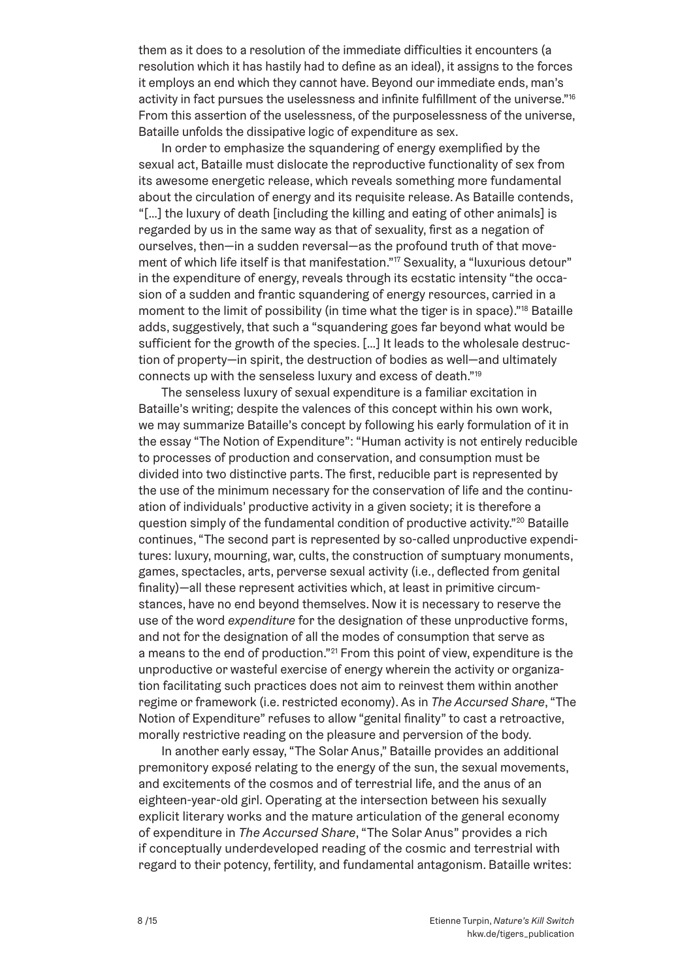them as it does to a resolution of the immediate difficulties it encounters (a resolution which it has hastily had to define as an ideal), it assigns to the forces it employs an end which they cannot have. Beyond our immediate ends, man's activity in fact pursues the uselessness and infinite fulfillment of the universe."16 From this assertion of the uselessness, of the purposelessness of the universe, Bataille unfolds the dissipative logic of expenditure as sex.

In order to emphasize the squandering of energy exemplified by the sexual act, Bataille must dislocate the reproductive functionality of sex from its awesome energetic release, which reveals something more fundamental about the circulation of energy and its requisite release. As Bataille contends, "[…] the luxury of death [including the killing and eating of other animals] is regarded by us in the same way as that of sexuality, first as a negation of ourselves, then—in a sudden reversal—as the profound truth of that movement of which life itself is that manifestation."<sup>17</sup> Sexuality, a "luxurious detour" in the expenditure of energy, reveals through its ecstatic intensity "the occasion of a sudden and frantic squandering of energy resources, carried in a moment to the limit of possibility (in time what the tiger is in space)."18 Bataille adds, suggestively, that such a "squandering goes far beyond what would be sufficient for the growth of the species. […] It leads to the wholesale destruction of property—in spirit, the destruction of bodies as well—and ultimately connects up with the senseless luxury and excess of death."19

The senseless luxury of sexual expenditure is a familiar excitation in Bataille's writing; despite the valences of this concept within his own work, we may summarize Bataille's concept by following his early formulation of it in the essay "The Notion of Expenditure": "Human activity is not entirely reducible to processes of production and conservation, and consumption must be divided into two distinctive parts. The first, reducible part is represented by the use of the minimum necessary for the conservation of life and the continuation of individuals' productive activity in a given society; it is therefore a question simply of the fundamental condition of productive activity."<sup>20</sup> Bataille continues, "The second part is represented by so-called unproductive expenditures: luxury, mourning, war, cults, the construction of sumptuary monuments, games, spectacles, arts, perverse sexual activity (i.e., deflected from genital finality)—all these represent activities which, at least in primitive circumstances, have no end beyond themselves. Now it is necessary to reserve the use of the word *expenditure* for the designation of these unproductive forms, and not for the designation of all the modes of consumption that serve as a means to the end of production."<sup>21</sup> From this point of view, expenditure is the unproductive or wasteful exercise of energy wherein the activity or organization facilitating such practices does not aim to reinvest them within another regime or framework (i.e. restricted economy). As in *The Accursed Share*, "The Notion of Expenditure" refuses to allow "genital finality" to cast a retroactive, morally restrictive reading on the pleasure and perversion of the body.

In another early essay, "The Solar Anus," Bataille provides an additional premonitory exposé relating to the energy of the sun, the sexual movements, and excitements of the cosmos and of terrestrial life, and the anus of an eighteen-year-old girl. Operating at the intersection between his sexually explicit literary works and the mature articulation of the general economy of expenditure in *The Accursed Share*, "The Solar Anus" provides a rich if conceptually underdeveloped reading of the cosmic and terrestrial with regard to their potency, fertility, and fundamental antagonism. Bataille writes: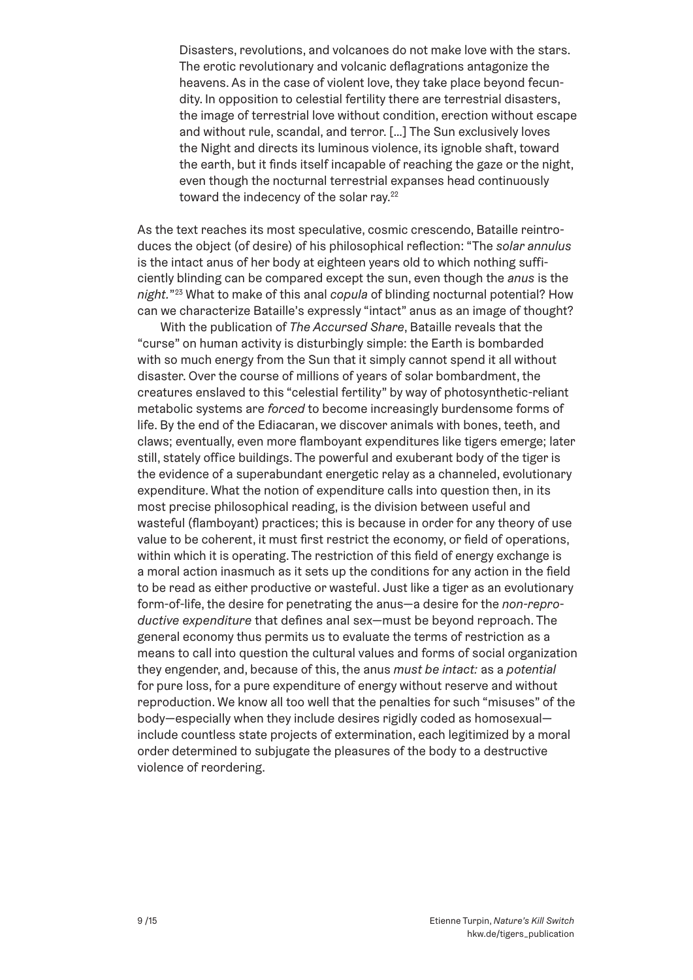Disasters, revolutions, and volcanoes do not make love with the stars. The erotic revolutionary and volcanic deflagrations antagonize the heavens. As in the case of violent love, they take place beyond fecundity. In opposition to celestial fertility there are terrestrial disasters, the image of terrestrial love without condition, erection without escape and without rule, scandal, and terror. […] The Sun exclusively loves the Night and directs its luminous violence, its ignoble shaft, toward the earth, but it finds itself incapable of reaching the gaze or the night, even though the nocturnal terrestrial expanses head continuously toward the indecency of the solar ray.<sup>22</sup>

As the text reaches its most speculative, cosmic crescendo, Bataille reintroduces the object (of desire) of his philosophical reflection: "The *solar annulus* is the intact anus of her body at eighteen years old to which nothing sufficiently blinding can be compared except the sun, even though the *anus* is the *night.*"23 What to make of this anal *copula* of blinding nocturnal potential? How can we characterize Bataille's expressly "intact" anus as an image of thought?

With the publication of *The Accursed Share*, Bataille reveals that the "curse" on human activity is disturbingly simple: the Earth is bombarded with so much energy from the Sun that it simply cannot spend it all without disaster. Over the course of millions of years of solar bombardment, the creatures enslaved to this "celestial fertility" by way of photosynthetic-reliant metabolic systems are *forced* to become increasingly burdensome forms of life. By the end of the Ediacaran, we discover animals with bones, teeth, and claws; eventually, even more flamboyant expenditures like tigers emerge; later still, stately office buildings. The powerful and exuberant body of the tiger is the evidence of a superabundant energetic relay as a channeled, evolutionary expenditure. What the notion of expenditure calls into question then, in its most precise philosophical reading, is the division between useful and wasteful (flamboyant) practices; this is because in order for any theory of use value to be coherent, it must first restrict the economy, or field of operations, within which it is operating. The restriction of this field of energy exchange is a moral action inasmuch as it sets up the conditions for any action in the field to be read as either productive or wasteful. Just like a tiger as an evolutionary form-of-life, the desire for penetrating the anus—a desire for the *non-reproductive expenditure* that defines anal sex—must be beyond reproach. The general economy thus permits us to evaluate the terms of restriction as a means to call into question the cultural values and forms of social organization they engender, and, because of this, the anus *must be intact:* as a *potential* for pure loss, for a pure expenditure of energy without reserve and without reproduction. We know all too well that the penalties for such "misuses" of the body—especially when they include desires rigidly coded as homosexual include countless state projects of extermination, each legitimized by a moral order determined to subjugate the pleasures of the body to a destructive violence of reordering.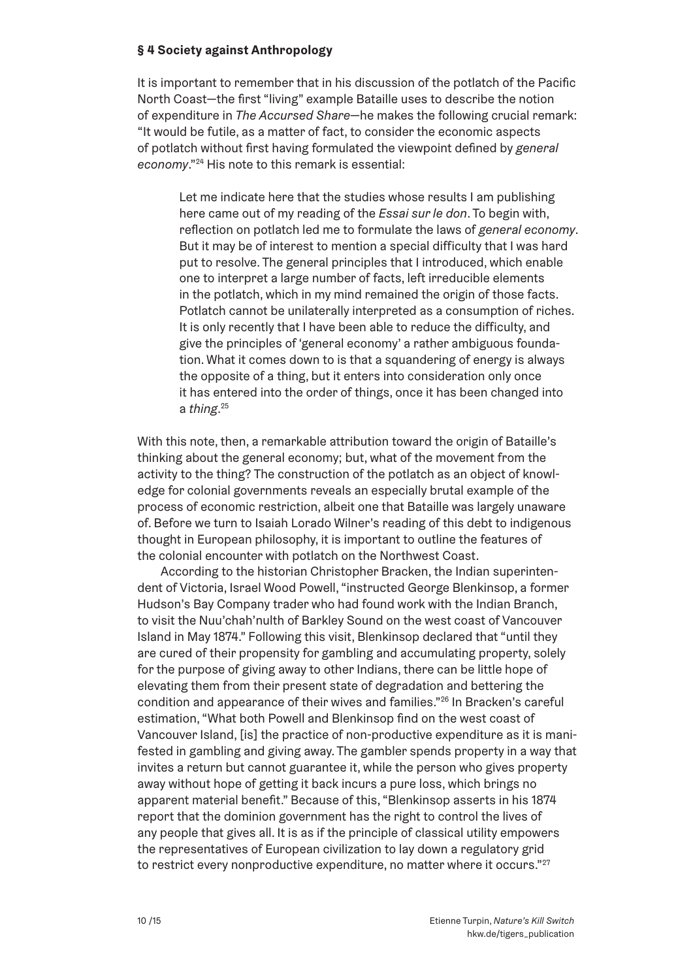### **§ 4 Society against Anthropology**

It is important to remember that in his discussion of the potlatch of the Pacific North Coast—the first "living" example Bataille uses to describe the notion of expenditure in *The Accursed Share*—he makes the following crucial remark: "It would be futile, as a matter of fact, to consider the economic aspects of potlatch without first having formulated the viewpoint defined by *general economy*."24 His note to this remark is essential:

Let me indicate here that the studies whose results I am publishing here came out of my reading of the *Essai sur le don*. To begin with, reflection on potlatch led me to formulate the laws of *general economy*. But it may be of interest to mention a special difficulty that I was hard put to resolve. The general principles that I introduced, which enable one to interpret a large number of facts, left irreducible elements in the potlatch, which in my mind remained the origin of those facts. Potlatch cannot be unilaterally interpreted as a consumption of riches. It is only recently that I have been able to reduce the difficulty, and give the principles of 'general economy' a rather ambiguous foundation. What it comes down to is that a squandering of energy is always the opposite of a thing, but it enters into consideration only once it has entered into the order of things, once it has been changed into a *thing*. 25

With this note, then, a remarkable attribution toward the origin of Bataille's thinking about the general economy; but, what of the movement from the activity to the thing? The construction of the potlatch as an object of knowledge for colonial governments reveals an especially brutal example of the process of economic restriction, albeit one that Bataille was largely unaware of. Before we turn to Isaiah Lorado Wilner's reading of this debt to indigenous thought in European philosophy, it is important to outline the features of the colonial encounter with potlatch on the Northwest Coast.

According to the historian Christopher Bracken, the Indian superintendent of Victoria, Israel Wood Powell, "instructed George Blenkinsop, a former Hudson's Bay Company trader who had found work with the Indian Branch, to visit the Nuu'chah'nulth of Barkley Sound on the west coast of Vancouver Island in May 1874." Following this visit, Blenkinsop declared that "until they are cured of their propensity for gambling and accumulating property, solely for the purpose of giving away to other Indians, there can be little hope of elevating them from their present state of degradation and bettering the condition and appearance of their wives and families."26 In Bracken's careful estimation, "What both Powell and Blenkinsop find on the west coast of Vancouver Island, [is] the practice of non-productive expenditure as it is manifested in gambling and giving away. The gambler spends property in a way that invites a return but cannot guarantee it, while the person who gives property away without hope of getting it back incurs a pure loss, which brings no apparent material benefit." Because of this, "Blenkinsop asserts in his 1874 report that the dominion government has the right to control the lives of any people that gives all. It is as if the principle of classical utility empowers the representatives of European civilization to lay down a regulatory grid to restrict every nonproductive expenditure, no matter where it occurs."<sup>27</sup>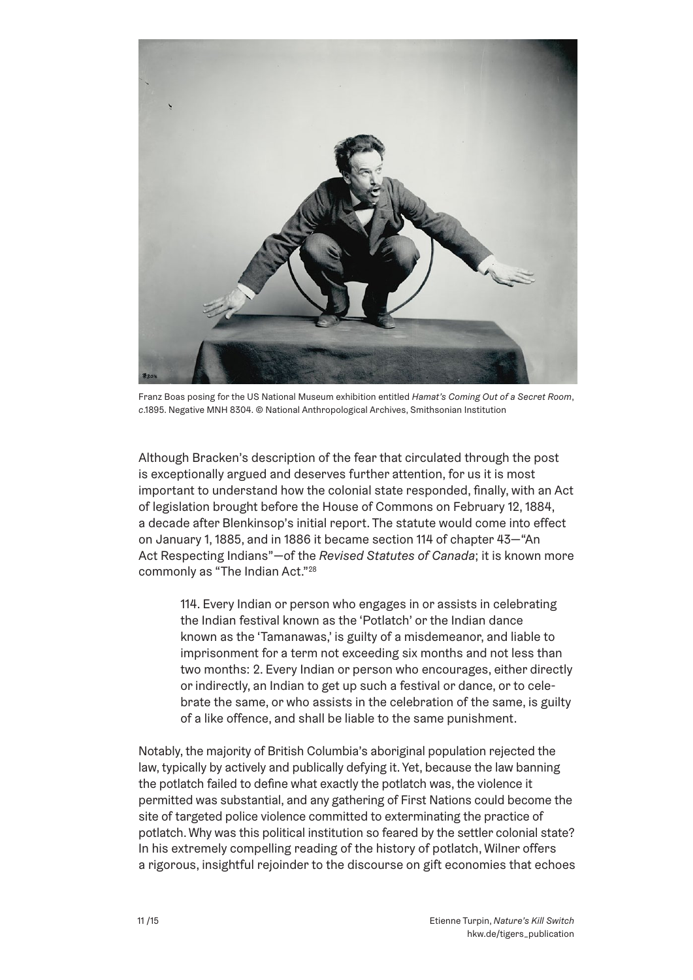

Franz Boas posing for the US National Museum exhibition entitled *Hamat's Coming Out of a Secret Room*, *c*.1895. Negative MNH 8304. © National Anthropological Archives, Smithsonian Institution

Although Bracken's description of the fear that circulated through the post is exceptionally argued and deserves further attention, for us it is most important to understand how the colonial state responded, finally, with an Act of legislation brought before the House of Commons on February 12, 1884, a decade after Blenkinsop's initial report. The statute would come into effect on January 1, 1885, and in 1886 it became section 114 of chapter 43—"An Act Respecting Indians"—of the *Revised Statutes of Canada*; it is known more commonly as "The Indian Act."28

114. Every Indian or person who engages in or assists in celebrating the Indian festival known as the 'Potlatch' or the Indian dance known as the 'Tamanawas,' is guilty of a misdemeanor, and liable to imprisonment for a term not exceeding six months and not less than two months: 2. Every Indian or person who encourages, either directly or indirectly, an Indian to get up such a festival or dance, or to celebrate the same, or who assists in the celebration of the same, is guilty of a like offence, and shall be liable to the same punishment.

Notably, the majority of British Columbia's aboriginal population rejected the law, typically by actively and publically defying it. Yet, because the law banning the potlatch failed to define what exactly the potlatch was, the violence it permitted was substantial, and any gathering of First Nations could become the site of targeted police violence committed to exterminating the practice of potlatch. Why was this political institution so feared by the settler colonial state? In his extremely compelling reading of the history of potlatch, Wilner offers a rigorous, insightful rejoinder to the discourse on gift economies that echoes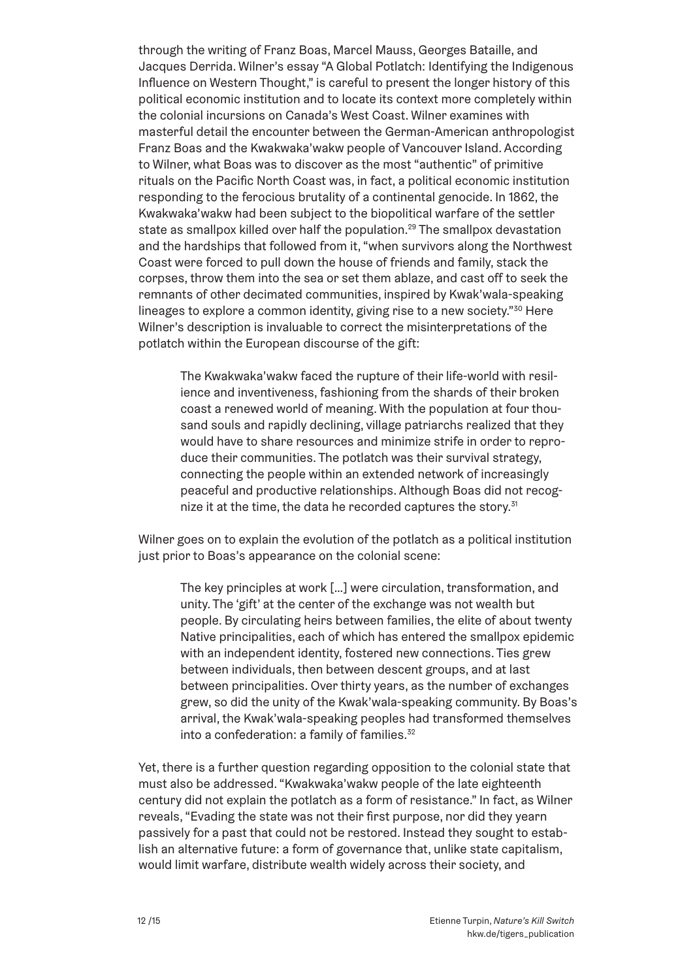through the writing of Franz Boas, Marcel Mauss, Georges Bataille, and Jacques Derrida. Wilner's essay "A Global Potlatch: Identifying the Indigenous Influence on Western Thought," is careful to present the longer history of this political economic institution and to locate its context more completely within the colonial incursions on Canada's West Coast. Wilner examines with masterful detail the encounter between the German-American anthropologist Franz Boas and the Kwakwaka'wakw people of Vancouver Island. According to Wilner, what Boas was to discover as the most "authentic" of primitive rituals on the Pacific North Coast was, in fact, a political economic institution responding to the ferocious brutality of a continental genocide. In 1862, the Kwakwaka'wakw had been subject to the biopolitical warfare of the settler state as smallpox killed over half the population.<sup>29</sup> The smallpox devastation and the hardships that followed from it, "when survivors along the Northwest Coast were forced to pull down the house of friends and family, stack the corpses, throw them into the sea or set them ablaze, and cast off to seek the remnants of other decimated communities, inspired by Kwak'wala-speaking lineages to explore a common identity, giving rise to a new society."<sup>30</sup> Here Wilner's description is invaluable to correct the misinterpretations of the potlatch within the European discourse of the gift:

The Kwakwaka'wakw faced the rupture of their life-world with resilience and inventiveness, fashioning from the shards of their broken coast a renewed world of meaning. With the population at four thousand souls and rapidly declining, village patriarchs realized that they would have to share resources and minimize strife in order to reproduce their communities. The potlatch was their survival strategy, connecting the people within an extended network of increasingly peaceful and productive relationships. Although Boas did not recognize it at the time, the data he recorded captures the story.<sup>31</sup>

Wilner goes on to explain the evolution of the potlatch as a political institution just prior to Boas's appearance on the colonial scene:

The key principles at work […] were circulation, transformation, and unity. The 'gift' at the center of the exchange was not wealth but people. By circulating heirs between families, the elite of about twenty Native principalities, each of which has entered the smallpox epidemic with an independent identity, fostered new connections. Ties grew between individuals, then between descent groups, and at last between principalities. Over thirty years, as the number of exchanges grew, so did the unity of the Kwak'wala-speaking community. By Boas's arrival, the Kwak'wala-speaking peoples had transformed themselves into a confederation: a family of families. $32$ 

Yet, there is a further question regarding opposition to the colonial state that must also be addressed. "Kwakwaka'wakw people of the late eighteenth century did not explain the potlatch as a form of resistance." In fact, as Wilner reveals, "Evading the state was not their first purpose, nor did they yearn passively for a past that could not be restored. Instead they sought to establish an alternative future: a form of governance that, unlike state capitalism, would limit warfare, distribute wealth widely across their society, and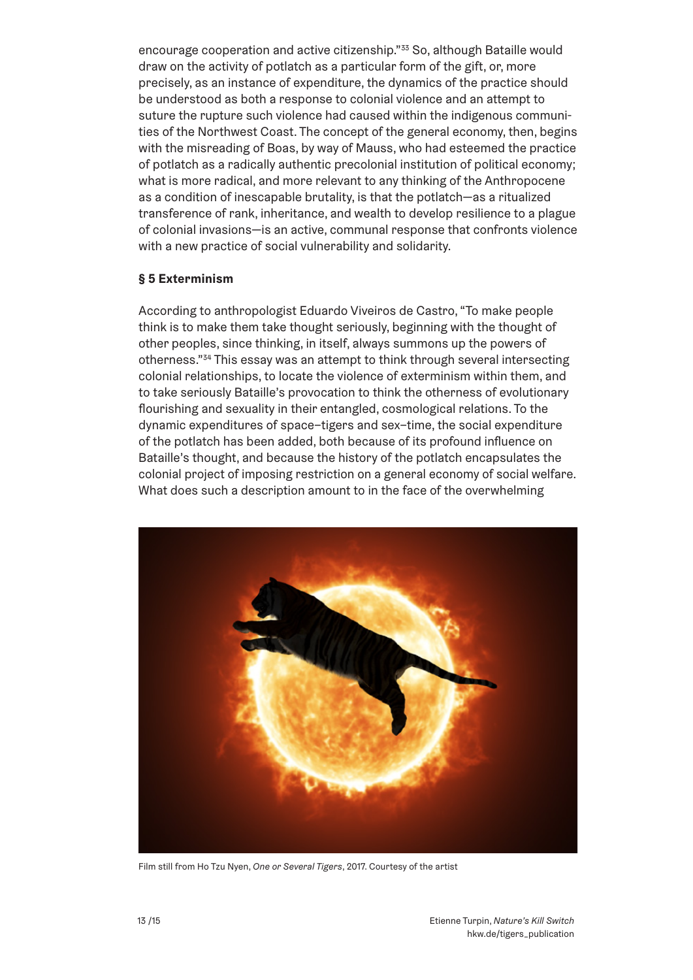encourage cooperation and active citizenship."33 So, although Bataille would draw on the activity of potlatch as a particular form of the gift, or, more precisely, as an instance of expenditure, the dynamics of the practice should be understood as both a response to colonial violence and an attempt to suture the rupture such violence had caused within the indigenous communities of the Northwest Coast. The concept of the general economy, then, begins with the misreading of Boas, by way of Mauss, who had esteemed the practice of potlatch as a radically authentic precolonial institution of political economy; what is more radical, and more relevant to any thinking of the Anthropocene as a condition of inescapable brutality, is that the potlatch—as a ritualized transference of rank, inheritance, and wealth to develop resilience to a plague of colonial invasions—is an active, communal response that confronts violence with a new practice of social vulnerability and solidarity.

## **§ 5 Exterminism**

According to anthropologist Eduardo Viveiros de Castro, "To make people think is to make them take thought seriously, beginning with the thought of other peoples, since thinking, in itself, always summons up the powers of otherness."34 This essay was an attempt to think through several intersecting colonial relationships, to locate the violence of exterminism within them, and to take seriously Bataille's provocation to think the otherness of evolutionary flourishing and sexuality in their entangled, cosmological relations. To the dynamic expenditures of space–tigers and sex–time, the social expenditure of the potlatch has been added, both because of its profound influence on Bataille's thought, and because the history of the potlatch encapsulates the colonial project of imposing restriction on a general economy of social welfare. What does such a description amount to in the face of the overwhelming



Film still from Ho Tzu Nyen, *One or Several Tigers*, 2017. Courtesy of the artist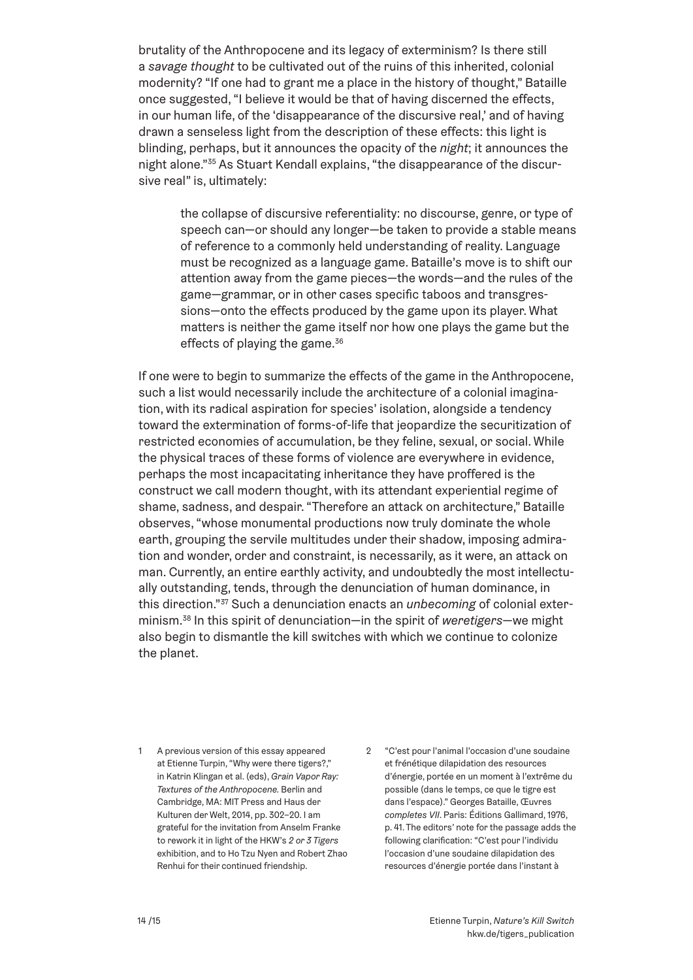brutality of the Anthropocene and its legacy of exterminism? Is there still a *savage thought* to be cultivated out of the ruins of this inherited, colonial modernity? "If one had to grant me a place in the history of thought," Bataille once suggested, "I believe it would be that of having discerned the effects, in our human life, of the 'disappearance of the discursive real,' and of having drawn a senseless light from the description of these effects: this light is blinding, perhaps, but it announces the opacity of the *night*; it announces the night alone."35 As Stuart Kendall explains, "the disappearance of the discursive real" is, ultimately:

the collapse of discursive referentiality: no discourse, genre, or type of speech can—or should any longer—be taken to provide a stable means of reference to a commonly held understanding of reality. Language must be recognized as a language game. Bataille's move is to shift our attention away from the game pieces—the words—and the rules of the game—grammar, or in other cases specific taboos and transgressions—onto the effects produced by the game upon its player. What matters is neither the game itself nor how one plays the game but the effects of playing the game. $36$ 

If one were to begin to summarize the effects of the game in the Anthropocene, such a list would necessarily include the architecture of a colonial imagination, with its radical aspiration for species' isolation, alongside a tendency toward the extermination of forms-of-life that jeopardize the securitization of restricted economies of accumulation, be they feline, sexual, or social. While the physical traces of these forms of violence are everywhere in evidence, perhaps the most incapacitating inheritance they have proffered is the construct we call modern thought, with its attendant experiential regime of shame, sadness, and despair. "Therefore an attack on architecture," Bataille observes, "whose monumental productions now truly dominate the whole earth, grouping the servile multitudes under their shadow, imposing admiration and wonder, order and constraint, is necessarily, as it were, an attack on man. Currently, an entire earthly activity, and undoubtedly the most intellectually outstanding, tends, through the denunciation of human dominance, in this direction."37 Such a denunciation enacts an *unbecoming* of colonial exterminism.38 In this spirit of denunciation—in the spirit of *weretigers*—we might also begin to dismantle the kill switches with which we continue to colonize the planet.

- 1 A previous version of this essay appeared at Etienne Turpin, "Why were there tigers?," in Katrin Klingan et al. (eds), *Grain Vapor Ray: Textures of the Anthropocene.* Berlin and Cambridge, MA: MIT Press and Haus der Kulturen der Welt, 2014, pp. 302–20. I am grateful for the invitation from Anselm Franke to rework it in light of the HKW's *2 or 3 Tigers* exhibition, and to Ho Tzu Nyen and Robert Zhao Renhui for their continued friendship.
- 2 "C'est pour l'animal l'occasion d'une soudaine et frénétique dilapidation des resources d'énergie, portée en un moment à l'extrême du possible (dans le temps, ce que le tigre est dans l'espace)." Georges Bataille, Œuvres *completes VII*. Paris: Éditions Gallimard, 1976, p. 41. The editors' note for the passage adds the following clarification: "C'est pour l'individu l'occasion d'une soudaine dilapidation des resources d'énergie portée dans l'instant à